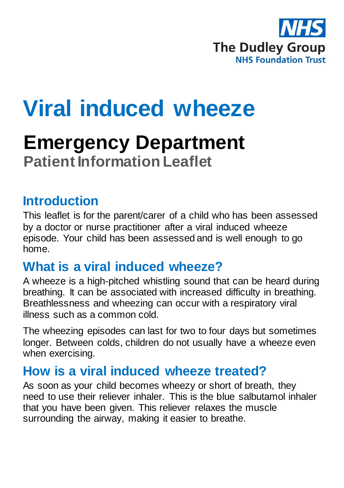

# **Viral induced wheeze**

## **Emergency Department Patient Information Leaflet**

#### **Introduction**

This leaflet is for the parent/carer of a child who has been assessed by a doctor or nurse practitioner after a viral induced wheeze episode. Your child has been assessed and is well enough to go home.

#### **What is a viral induced wheeze?**

A wheeze is a high-pitched whistling sound that can be heard during breathing. It can be associated with increased difficulty in breathing. Breathlessness and wheezing can occur with a respiratory viral illness such as a common cold.

The wheezing episodes can last for two to four days but sometimes longer. Between colds, children do not usually have a wheeze even when exercising.

### **How is a viral induced wheeze treated?**

As soon as your child becomes wheezy or short of breath, they need to use their reliever inhaler. This is the blue salbutamol inhaler that you have been given. This reliever relaxes the muscle surrounding the airway, making it easier to breathe.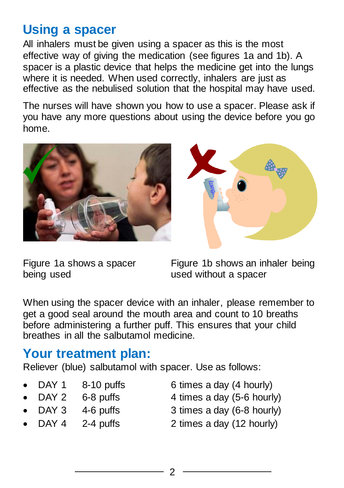#### **Using a spacer**

All inhalers must be given using a spacer as this is the most effective way of giving the medication (see figures 1a and 1b). A spacer is a plastic device that helps the medicine get into the lungs where it is needed. When used correctly, inhalers are just as effective as the nebulised solution that the hospital may have used.

The nurses will have shown you how to use a spacer. Please ask if you have any more questions about using the device before you go home.





being used **being** used without a spacer

Figure 1a shows a spacer Figure 1b shows an inhaler being

When using the spacer device with an inhaler, please remember to get a good seal around the mouth area and count to 10 breaths before administering a further puff. This ensures that your child breathes in all the salbutamol medicine.

#### **Your treatment plan:**

Reliever (blue) salbutamol with spacer. Use as follows:

- DAY 1  $8-10$  puffs 6 times a day (4 hourly)
- 

- 
- DAY 2  $6-8$  puffs 4 times a day  $(5-6$  hourly)
- 
- - DAY 3 4-6 puffs 3 times a day (6-8 hourly)
- 
- DAY 4 2-4 puffs 2 times a day (12 hourly)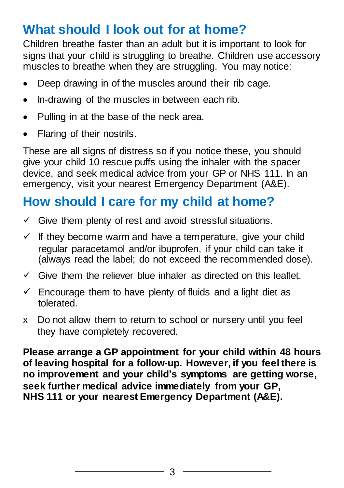## **What should I look out for at home?**

Children breathe faster than an adult but it is important to look for signs that your child is struggling to breathe. Children use accessory muscles to breathe when they are struggling. You may notice:

- Deep drawing in of the muscles around their rib cage.
- In-drawing of the muscles in between each rib.
- Pulling in at the base of the neck area.
- Flaring of their nostrils.

These are all signs of distress so if you notice these, you should give your child 10 rescue puffs using the inhaler with the spacer device, and seek medical advice from your GP or NHS 111. In an emergency, visit your nearest Emergency Department (A&E).

## **How should I care for my child at home?**

- $\checkmark$  Give them plenty of rest and avoid stressful situations.
- $\checkmark$  If they become warm and have a temperature, give your child regular paracetamol and/or ibuprofen, if your child can take it (always read the label; do not exceed the recommended dose).
- $\checkmark$  Give them the reliever blue inhaler as directed on this leaflet.
- $\checkmark$  Encourage them to have plenty of fluids and a light diet as tolerated.
- x Do not allow them to return to school or nursery until you feel they have completely recovered.

**Please arrange a GP appointment for your child within 48 hours of leaving hospital for a follow-up. However, if you feel there is no improvement and your child's symptoms are getting worse, seek further medical advice immediately from your GP, NHS 111 or your nearest Emergency Department (A&E).**